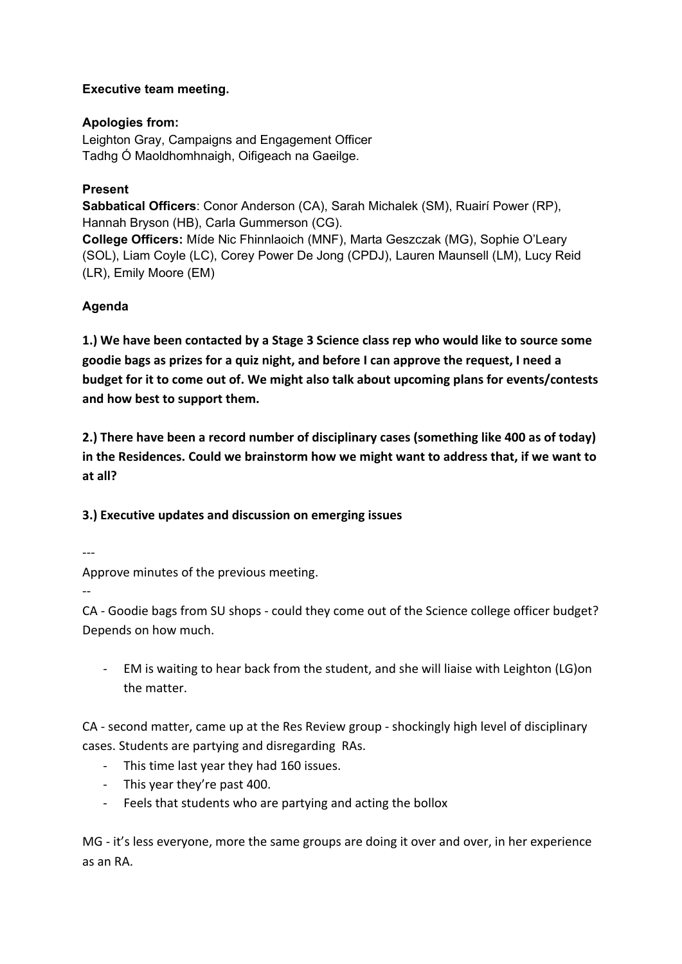# **Executive team meeting.**

# **Apologies from:**

Leighton Gray, Campaigns and Engagement Officer Tadhg Ó Maoldhomhnaigh, Oifigeach na Gaeilge.

# **Present**

**Sabbatical Officers**: Conor Anderson (CA), Sarah Michalek (SM), Ruairí Power (RP), Hannah Bryson (HB), Carla Gummerson (CG). **College Officers:** Míde Nic Fhinnlaoich (MNF), Marta Geszczak (MG), Sophie O'Leary (SOL), Liam Coyle (LC), Corey Power De Jong (CPDJ), Lauren Maunsell (LM), Lucy Reid (LR), Emily Moore (EM)

# **Agenda**

**1.) We have been contacted by a Stage 3 Science class rep who would like to source some goodie bags as prizes for a quiz night, and before I can approve the request, I need a budget for it to come out of. We might also talk about upcoming plans for events/contests and how best to support them.**

**2.) There have been a record number of disciplinary cases (something like 400 as of today) in the Residences. Could we brainstorm how we might want to address that, if we want to at all?**

# **3.) Executive updates and discussion on emerging issues**

---

Approve minutes of the previous meeting.

--

CA - Goodie bags from SU shops - could they come out of the Science college officer budget? Depends on how much.

- EM is waiting to hear back from the student, and she will liaise with Leighton (LG)on the matter.

CA - second matter, came up at the Res Review group - shockingly high level of disciplinary cases. Students are partying and disregarding RAs.

- This time last year they had 160 issues.
- This year they're past 400.
- Feels that students who are partying and acting the bollox

MG - it's less everyone, more the same groups are doing it over and over, in her experience as an RA.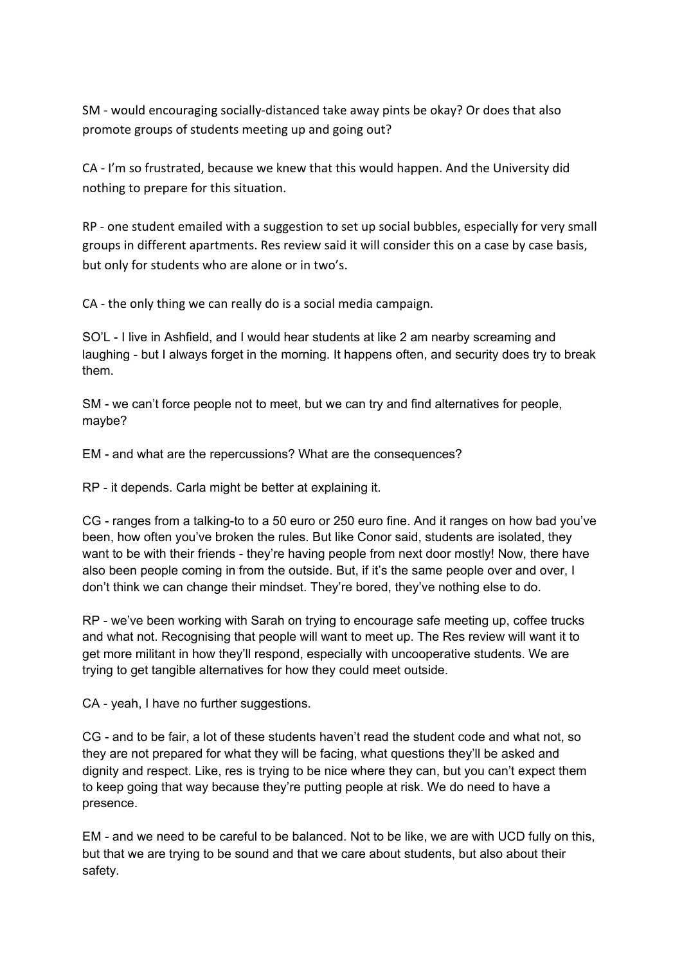SM - would encouraging socially-distanced take away pints be okay? Or does that also promote groups of students meeting up and going out?

CA - I'm so frustrated, because we knew that this would happen. And the University did nothing to prepare for this situation.

RP - one student emailed with a suggestion to set up social bubbles, especially for very small groups in different apartments. Res review said it will consider this on a case by case basis, but only for students who are alone or in two's.

CA - the only thing we can really do is a social media campaign.

SO'L - I live in Ashfield, and I would hear students at like 2 am nearby screaming and laughing - but I always forget in the morning. It happens often, and security does try to break them.

SM - we can't force people not to meet, but we can try and find alternatives for people, maybe?

EM - and what are the repercussions? What are the consequences?

RP - it depends. Carla might be better at explaining it.

CG - ranges from a talking-to to a 50 euro or 250 euro fine. And it ranges on how bad you've been, how often you've broken the rules. But like Conor said, students are isolated, they want to be with their friends - they're having people from next door mostly! Now, there have also been people coming in from the outside. But, if it's the same people over and over, I don't think we can change their mindset. They're bored, they've nothing else to do.

RP - we've been working with Sarah on trying to encourage safe meeting up, coffee trucks and what not. Recognising that people will want to meet up. The Res review will want it to get more militant in how they'll respond, especially with uncooperative students. We are trying to get tangible alternatives for how they could meet outside.

CA - yeah, I have no further suggestions.

CG - and to be fair, a lot of these students haven't read the student code and what not, so they are not prepared for what they will be facing, what questions they'll be asked and dignity and respect. Like, res is trying to be nice where they can, but you can't expect them to keep going that way because they're putting people at risk. We do need to have a presence.

EM - and we need to be careful to be balanced. Not to be like, we are with UCD fully on this, but that we are trying to be sound and that we care about students, but also about their safety.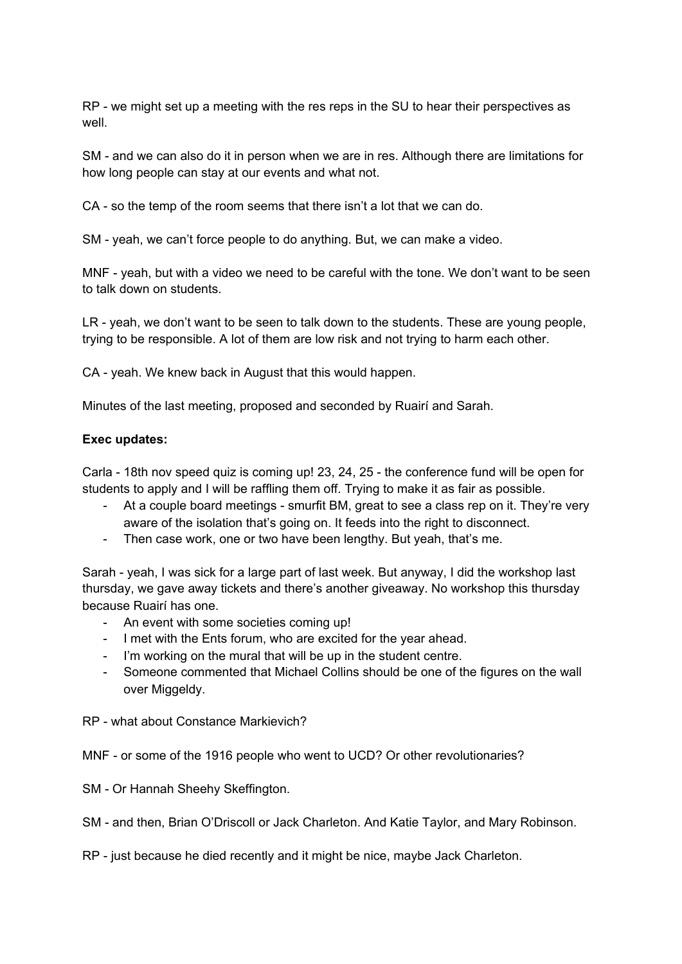RP - we might set up a meeting with the res reps in the SU to hear their perspectives as well.

SM - and we can also do it in person when we are in res. Although there are limitations for how long people can stay at our events and what not.

CA - so the temp of the room seems that there isn't a lot that we can do.

SM - yeah, we can't force people to do anything. But, we can make a video.

MNF - yeah, but with a video we need to be careful with the tone. We don't want to be seen to talk down on students.

LR - yeah, we don't want to be seen to talk down to the students. These are young people, trying to be responsible. A lot of them are low risk and not trying to harm each other.

CA - yeah. We knew back in August that this would happen.

Minutes of the last meeting, proposed and seconded by Ruairí and Sarah.

### **Exec updates:**

Carla - 18th nov speed quiz is coming up! 23, 24, 25 - the conference fund will be open for students to apply and I will be raffling them off. Trying to make it as fair as possible.

- At a couple board meetings smurfit BM, great to see a class rep on it. They're very aware of the isolation that's going on. It feeds into the right to disconnect.
- Then case work, one or two have been lengthy. But yeah, that's me.

Sarah - yeah, I was sick for a large part of last week. But anyway, I did the workshop last thursday, we gave away tickets and there's another giveaway. No workshop this thursday because Ruairí has one.

- An event with some societies coming up!
- I met with the Ents forum, who are excited for the year ahead.
- I'm working on the mural that will be up in the student centre.
- Someone commented that Michael Collins should be one of the figures on the wall over Miggeldy.
- RP what about Constance Markievich?

#### MNF - or some of the 1916 people who went to UCD? Or other revolutionaries?

- SM Or Hannah Sheehy Skeffington.
- SM and then, Brian O'Driscoll or Jack Charleton. And Katie Taylor, and Mary Robinson.
- RP just because he died recently and it might be nice, maybe Jack Charleton.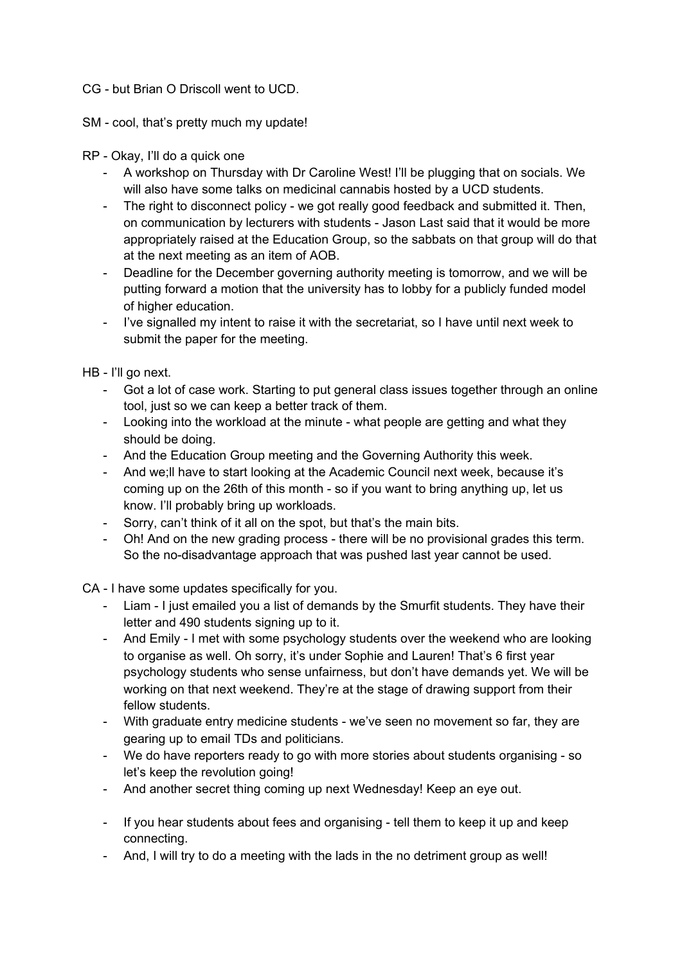### CG - but Brian O Driscoll went to UCD.

- SM cool, that's pretty much my update!
- RP Okay, I'll do a quick one
	- A workshop on Thursday with Dr Caroline West! I'll be plugging that on socials. We will also have some talks on medicinal cannabis hosted by a UCD students.
	- The right to disconnect policy we got really good feedback and submitted it. Then, on communication by lecturers with students - Jason Last said that it would be more appropriately raised at the Education Group, so the sabbats on that group will do that at the next meeting as an item of AOB.
	- Deadline for the December governing authority meeting is tomorrow, and we will be putting forward a motion that the university has to lobby for a publicly funded model of higher education.
	- I've signalled my intent to raise it with the secretariat, so I have until next week to submit the paper for the meeting.

HB - I'll go next.

- Got a lot of case work. Starting to put general class issues together through an online tool, just so we can keep a better track of them.
- Looking into the workload at the minute what people are getting and what they should be doing.
- And the Education Group meeting and the Governing Authority this week.
- And we;ll have to start looking at the Academic Council next week, because it's coming up on the 26th of this month - so if you want to bring anything up, let us know. I'll probably bring up workloads.
- Sorry, can't think of it all on the spot, but that's the main bits.
- Oh! And on the new grading process there will be no provisional grades this term. So the no-disadvantage approach that was pushed last year cannot be used.

CA - I have some updates specifically for you.

- Liam I just emailed you a list of demands by the Smurfit students. They have their letter and 490 students signing up to it.
- And Emily I met with some psychology students over the weekend who are looking to organise as well. Oh sorry, it's under Sophie and Lauren! That's 6 first year psychology students who sense unfairness, but don't have demands yet. We will be working on that next weekend. They're at the stage of drawing support from their fellow students.
- With graduate entry medicine students we've seen no movement so far, they are gearing up to email TDs and politicians.
- We do have reporters ready to go with more stories about students organising so let's keep the revolution going!
- And another secret thing coming up next Wednesday! Keep an eye out.
- If you hear students about fees and organising tell them to keep it up and keep connecting.
- And, I will try to do a meeting with the lads in the no detriment group as well!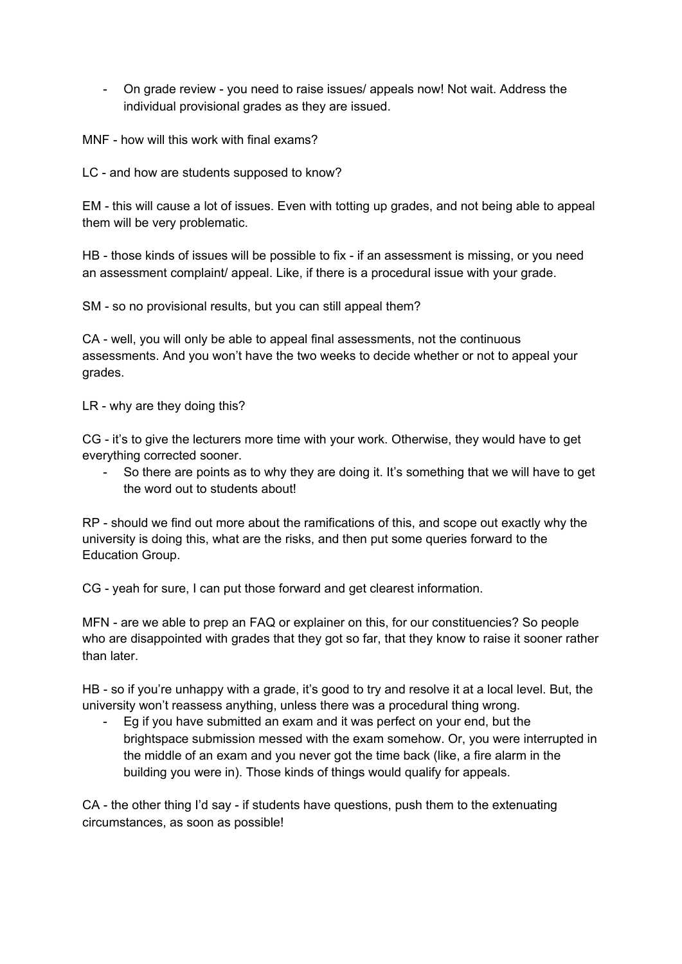- On grade review - you need to raise issues/ appeals now! Not wait. Address the individual provisional grades as they are issued.

MNF - how will this work with final exams?

LC - and how are students supposed to know?

EM - this will cause a lot of issues. Even with totting up grades, and not being able to appeal them will be very problematic.

HB - those kinds of issues will be possible to fix - if an assessment is missing, or you need an assessment complaint/ appeal. Like, if there is a procedural issue with your grade.

SM - so no provisional results, but you can still appeal them?

CA - well, you will only be able to appeal final assessments, not the continuous assessments. And you won't have the two weeks to decide whether or not to appeal your grades.

LR - why are they doing this?

CG - it's to give the lecturers more time with your work. Otherwise, they would have to get everything corrected sooner.

- So there are points as to why they are doing it. It's something that we will have to get the word out to students about!

RP - should we find out more about the ramifications of this, and scope out exactly why the university is doing this, what are the risks, and then put some queries forward to the Education Group.

CG - yeah for sure, I can put those forward and get clearest information.

MFN - are we able to prep an FAQ or explainer on this, for our constituencies? So people who are disappointed with grades that they got so far, that they know to raise it sooner rather than later.

HB - so if you're unhappy with a grade, it's good to try and resolve it at a local level. But, the university won't reassess anything, unless there was a procedural thing wrong.

- Eg if you have submitted an exam and it was perfect on your end, but the brightspace submission messed with the exam somehow. Or, you were interrupted in the middle of an exam and you never got the time back (like, a fire alarm in the building you were in). Those kinds of things would qualify for appeals.

CA - the other thing I'd say - if students have questions, push them to the extenuating circumstances, as soon as possible!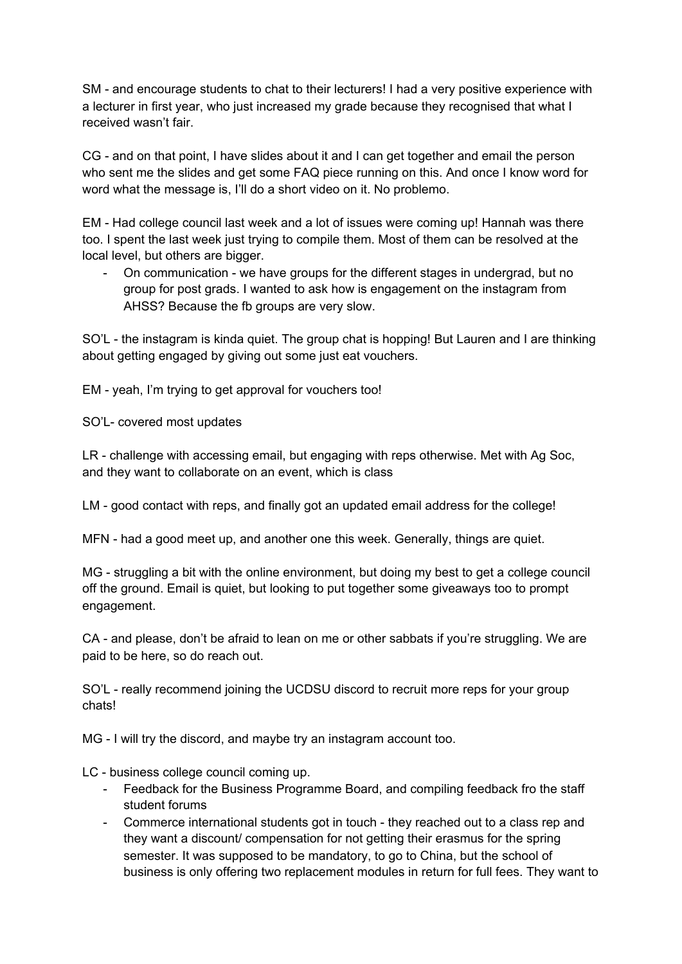SM - and encourage students to chat to their lecturers! I had a very positive experience with a lecturer in first year, who just increased my grade because they recognised that what I received wasn't fair.

CG - and on that point, I have slides about it and I can get together and email the person who sent me the slides and get some FAQ piece running on this. And once I know word for word what the message is, I'll do a short video on it. No problemo.

EM - Had college council last week and a lot of issues were coming up! Hannah was there too. I spent the last week just trying to compile them. Most of them can be resolved at the local level, but others are bigger.

- On communication - we have groups for the different stages in undergrad, but no group for post grads. I wanted to ask how is engagement on the instagram from AHSS? Because the fb groups are very slow.

SO'L - the instagram is kinda quiet. The group chat is hopping! But Lauren and I are thinking about getting engaged by giving out some just eat vouchers.

EM - yeah, I'm trying to get approval for vouchers too!

SO'L- covered most updates

LR - challenge with accessing email, but engaging with reps otherwise. Met with Ag Soc, and they want to collaborate on an event, which is class

LM - good contact with reps, and finally got an updated email address for the college!

MFN - had a good meet up, and another one this week. Generally, things are quiet.

MG - struggling a bit with the online environment, but doing my best to get a college council off the ground. Email is quiet, but looking to put together some giveaways too to prompt engagement.

CA - and please, don't be afraid to lean on me or other sabbats if you're struggling. We are paid to be here, so do reach out.

SO'L - really recommend joining the UCDSU discord to recruit more reps for your group chats!

MG - I will try the discord, and maybe try an instagram account too.

LC - business college council coming up.

- Feedback for the Business Programme Board, and compiling feedback fro the staff student forums
- Commerce international students got in touch they reached out to a class rep and they want a discount/ compensation for not getting their erasmus for the spring semester. It was supposed to be mandatory, to go to China, but the school of business is only offering two replacement modules in return for full fees. They want to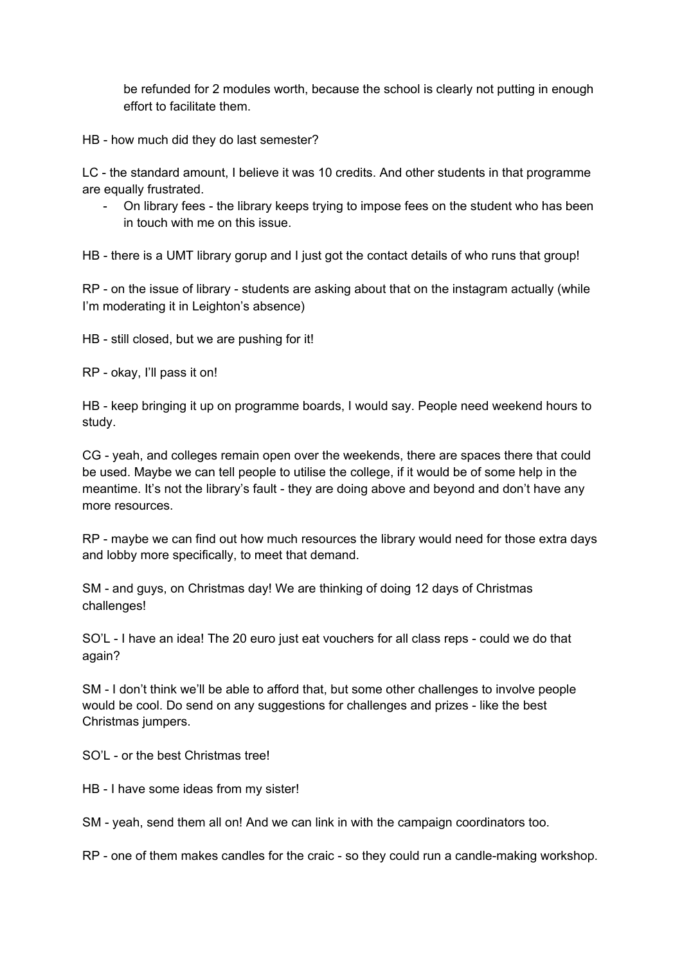be refunded for 2 modules worth, because the school is clearly not putting in enough effort to facilitate them.

HB - how much did they do last semester?

LC - the standard amount, I believe it was 10 credits. And other students in that programme are equally frustrated.

- On library fees - the library keeps trying to impose fees on the student who has been in touch with me on this issue.

HB - there is a UMT library gorup and I just got the contact details of who runs that group!

RP - on the issue of library - students are asking about that on the instagram actually (while I'm moderating it in Leighton's absence)

HB - still closed, but we are pushing for it!

RP - okay, I'll pass it on!

HB - keep bringing it up on programme boards, I would say. People need weekend hours to study.

CG - yeah, and colleges remain open over the weekends, there are spaces there that could be used. Maybe we can tell people to utilise the college, if it would be of some help in the meantime. It's not the library's fault - they are doing above and beyond and don't have any more resources.

RP - maybe we can find out how much resources the library would need for those extra days and lobby more specifically, to meet that demand.

SM - and guys, on Christmas day! We are thinking of doing 12 days of Christmas challenges!

SO'L - I have an idea! The 20 euro just eat vouchers for all class reps - could we do that again?

SM - I don't think we'll be able to afford that, but some other challenges to involve people would be cool. Do send on any suggestions for challenges and prizes - like the best Christmas jumpers.

SO'L - or the best Christmas tree!

HB - I have some ideas from my sister!

SM - yeah, send them all on! And we can link in with the campaign coordinators too.

RP - one of them makes candles for the craic - so they could run a candle-making workshop.